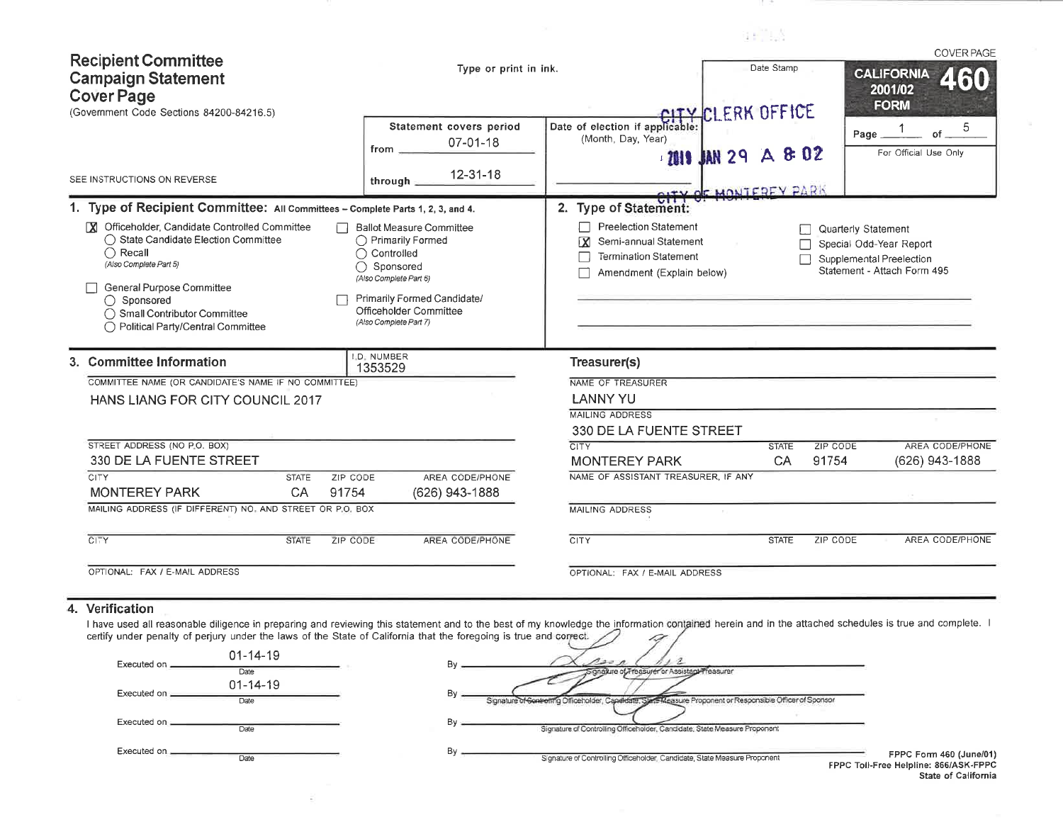| <b>Recipient Committee</b><br><b>Campaign Statement</b><br><b>Cover Page</b><br>(Government Code Sections 84200-84216.5)                                                                                                                                                 | Type or print in ink.                                                                                                                                                                                |                                                                                                                           | Date Stamp                              |                          | <b>COVER PAGE</b><br><b>CALIFORNIA</b><br>2001/02<br><b>FORM</b>                                          |
|--------------------------------------------------------------------------------------------------------------------------------------------------------------------------------------------------------------------------------------------------------------------------|------------------------------------------------------------------------------------------------------------------------------------------------------------------------------------------------------|---------------------------------------------------------------------------------------------------------------------------|-----------------------------------------|--------------------------|-----------------------------------------------------------------------------------------------------------|
|                                                                                                                                                                                                                                                                          | Statement covers period<br>$07 - 01 - 18$<br>from .<br>$12 - 31 - 18$                                                                                                                                | Date of election if applicable:<br>(Month, Day, Year)                                                                     | CITY CLERK OFFICE<br>ZOIS JAN 29 A & 02 |                          | 5<br>Page.<br>For Official Use Only                                                                       |
| SEE INSTRUCTIONS ON REVERSE                                                                                                                                                                                                                                              | through :                                                                                                                                                                                            |                                                                                                                           | OUTH OF MONTFREY PARK                   |                          |                                                                                                           |
| 1. Type of Recipient Committee: All Committees - Complete Parts 1, 2, 3, and 4.                                                                                                                                                                                          |                                                                                                                                                                                                      | 2. Type of Statement:                                                                                                     |                                         |                          |                                                                                                           |
| <b>X</b> Officeholder, Candidate Controlled Committee<br>◯ State Candidate Election Committee<br>$\bigcirc$ Recall<br>(Also Complete Part 5)<br>General Purpose Committee<br>$\bigcap$ Sponsored<br>◯ Small Contributor Committee<br>◯ Political Party/Central Committee | <b>Ballot Measure Committee</b><br>◯ Primarily Formed<br>◯ Controlled<br>Sponsored<br>∩<br>(Also Complete Part 6)<br>Primarily Formed Candidate/<br>Officeholder Committee<br>(Also Complete Part 7) | <b>Preelection Statement</b><br>Semi-annual Statement<br>ΓXΙ<br><b>Termination Statement</b><br>Amendment (Explain below) |                                         |                          | Quarterly Statement<br>Special Odd-Year Report<br>Supplemental Preelection<br>Statement - Attach Form 495 |
| 3. Committee Information                                                                                                                                                                                                                                                 | <b>I.D. NUMBER</b><br>1353529                                                                                                                                                                        | Treasurer(s)                                                                                                              |                                         |                          |                                                                                                           |
| COMMITTEE NAME (OR CANDIDATE'S NAME IF NO COMMITTEE)                                                                                                                                                                                                                     |                                                                                                                                                                                                      | NAME OF TREASURER                                                                                                         |                                         |                          |                                                                                                           |
| HANS LIANG FOR CITY COUNCIL 2017                                                                                                                                                                                                                                         |                                                                                                                                                                                                      | <b>LANNY YU</b>                                                                                                           |                                         |                          |                                                                                                           |
|                                                                                                                                                                                                                                                                          |                                                                                                                                                                                                      | <b>MAILING ADDRESS</b>                                                                                                    |                                         |                          |                                                                                                           |
|                                                                                                                                                                                                                                                                          | 330 DE LA FUENTE STREET                                                                                                                                                                              |                                                                                                                           |                                         |                          |                                                                                                           |
| STREET ADDRESS (NO P.O. BOX)                                                                                                                                                                                                                                             |                                                                                                                                                                                                      | <b>CITY</b>                                                                                                               |                                         | <b>STATE</b><br>ZIP CODE | AREA CODE/PHONE                                                                                           |
| 330 DE LA FUENTE STREET                                                                                                                                                                                                                                                  |                                                                                                                                                                                                      | <b>MONTEREY PARK</b>                                                                                                      |                                         | CA<br>91754              | (626) 943-1888                                                                                            |
| <b>CITY</b><br><b>STATE</b><br>ZIP CODE<br><b>MONTEREY PARK</b><br>CA<br>91754                                                                                                                                                                                           | AREA CODE/PHONE<br>(626) 943-1888                                                                                                                                                                    | NAME OF ASSISTANT TREASURER, IF ANY                                                                                       |                                         |                          |                                                                                                           |
| MAILING ADDRESS (IF DIFFERENT) NO. AND STREET OR P.O. BOX                                                                                                                                                                                                                | MAILING ADDRESS                                                                                                                                                                                      |                                                                                                                           |                                         |                          |                                                                                                           |
| CITY<br><b>STATE</b><br>ZIP CODE                                                                                                                                                                                                                                         | AREA CODE/PHONE                                                                                                                                                                                      | CITY                                                                                                                      |                                         | ZIP CODE<br><b>STATE</b> | AREA CODE/PHONE                                                                                           |
| OPTIONAL: FAX / E-MAIL ADDRESS                                                                                                                                                                                                                                           |                                                                                                                                                                                                      | OPTIONAL: FAX / E-MAIL ADDRESS                                                                                            |                                         |                          |                                                                                                           |

. . .

an<sup>ha</sup>r A

## 4. Verification

 $\overline{\mathcal{M}}$ 

I have used all reasonable diligence in preparing and reviewing this statement and to the best of my knowledge the information contained herein and in the attached schedules is true and complete. I certify under penalty of

| Executed on<br>Bv<br>mature of Freasurer or Assistant Freasurer<br>Date                                                                             |                                                |
|-----------------------------------------------------------------------------------------------------------------------------------------------------|------------------------------------------------|
| $01 - 14 - 19$<br>By<br>Executed on<br>re of Contretting Officeholder, Capaidate, State Measure Proponent or Responsible Officer of Sponsor<br>Date |                                                |
| Executed on .<br>В٧<br>Signature of Controlling Officeholder, Candidate, State Measure Proponent<br>Date                                            |                                                |
| Executed on.<br>B٧<br>Signature of Controlling Officeholder Candidate, State Measure Proponent<br>Date<br>FPPC Toll-Free Helpline: 866/ASK-FPPC     | FPPC Form 460 (June/01)<br>State of California |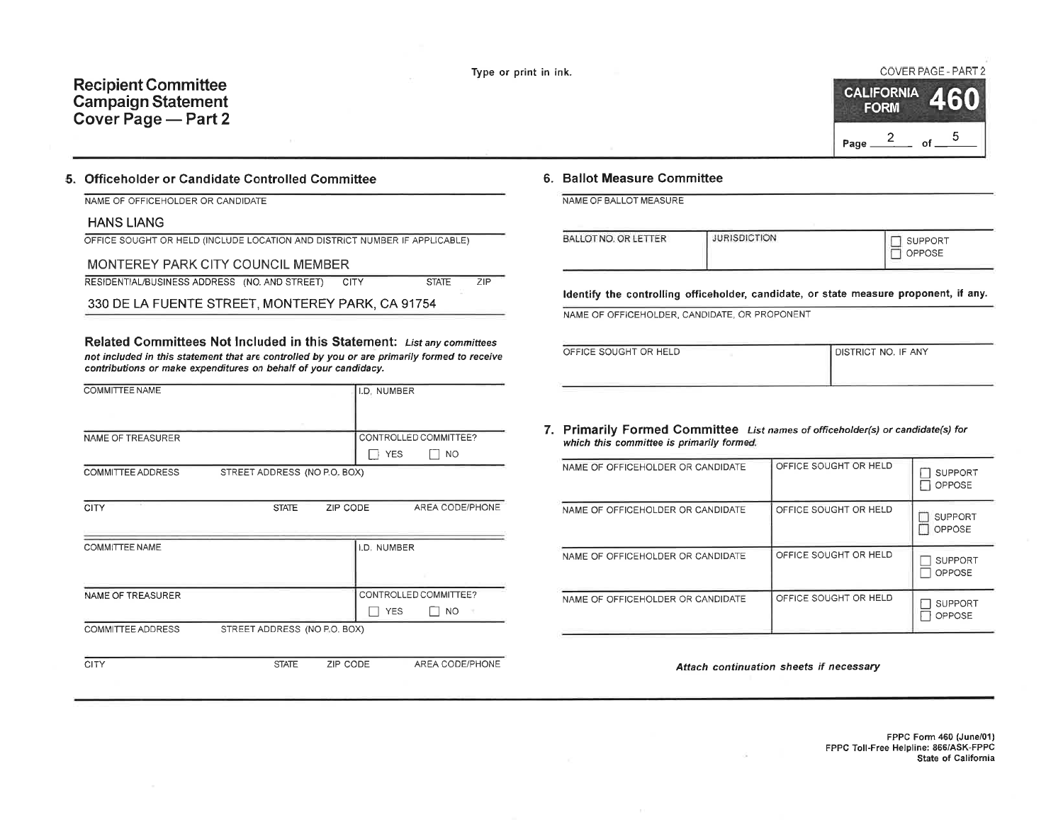## **Recipient Committee Campaign Statement** Cover Page - Part 2



## 5. Officeholder or Candidate Controlled Committee

NAME OF OFFICEHOLDER OR CANDIDATE

#### **HANS LIANG**

OFFICE SOUGHT OR HELD (INCLUDE LOCATION AND DISTRICT NUMBER IF APPLICABLE)

#### MONTEREY PARK CITY COUNCIL MEMBER

RESIDENTIAL/BUSINESS ADDRESS (NO. AND STREET) CITY **STATE** ZIP

330 DE LA FUENTE STREET, MONTEREY PARK, CA 91754

Related Committees Not Included in this Statement: List any committees not included in this statement that are controlled by you or are primarily formed to receive contributions or make expenditures on behalf of your candidacy.

| <b>COMMITTEE NAME</b>    |                              |          | I.D. NUMBER        |                       |
|--------------------------|------------------------------|----------|--------------------|-----------------------|
| NAME OF TREASURER        |                              |          |                    | CONTROLLED COMMITTEE? |
|                          |                              |          | <b>YES</b>         | <b>NO</b>             |
| <b>COMMITTEE ADDRESS</b> | STREET ADDRESS (NO P.O. BOX) |          |                    |                       |
|                          |                              |          |                    |                       |
| <b>CITY</b>              | <b>STATE</b>                 | ZIP CODE |                    | AREA CODE/PHONE       |
|                          |                              |          |                    |                       |
| <b>COMMITTEE NAME</b>    |                              |          | <b>I.D. NUMBER</b> |                       |
|                          |                              |          |                    |                       |
|                          |                              |          |                    |                       |
| NAME OF TREASURER        |                              |          |                    | CONTROLLED COMMITTEE? |
|                          |                              |          | <b>YES</b>         | <b>NO</b>             |
| COMMITTEE ADDRESS        | STREET ADDRESS (NO P.O. BOX) |          |                    |                       |

CITY AREA CODE/PHONE **STATE** ZIP CODE

### 6. Ballot Measure Committee

NAME OF BALLOT MEASURE

| BALLOT NO. OR LETTER | <b>JURISDICTION</b> | <b>SUPPORT</b><br><b>OPPOSE</b> |
|----------------------|---------------------|---------------------------------|
|----------------------|---------------------|---------------------------------|

Identify the controlling officeholder, candidate, or state measure proponent, if any.

NAME OF OFFICEHOLDER, CANDIDATE, OR PROPONENT

| OFFICE SOUGHT OR HELD |  |
|-----------------------|--|
|                       |  |

DISTRICT NO. IF ANY

#### 7. Primarily Formed Committee List names of officeholder(s) or candidate(s) for which this committee is primarily formed.

| NAME OF OFFICEHOLDER OR CANDIDATE | OFFICE SOUGHT OR HELD | SUPPORT<br><b>OPPOSE</b>        |
|-----------------------------------|-----------------------|---------------------------------|
| NAME OF OFFICEHOLDER OR CANDIDATE | OFFICE SOUGHT OR HELD | <b>SUPPORT</b><br><b>OPPOSE</b> |
| NAME OF OFFICEHOLDER OR CANDIDATE | OFFICE SOUGHT OR HELD | <b>SUPPORT</b><br>OPPOSE        |
| NAME OF OFFICEHOLDER OR CANDIDATE | OFFICE SOUGHT OR HELD | <b>SUPPORT</b><br><b>OPPOSE</b> |

#### Attach continuation sheets if necessary

FPPC Form 460 (June/01) FPPC Toll-Free Helpline: 866/ASK-FPPC State of California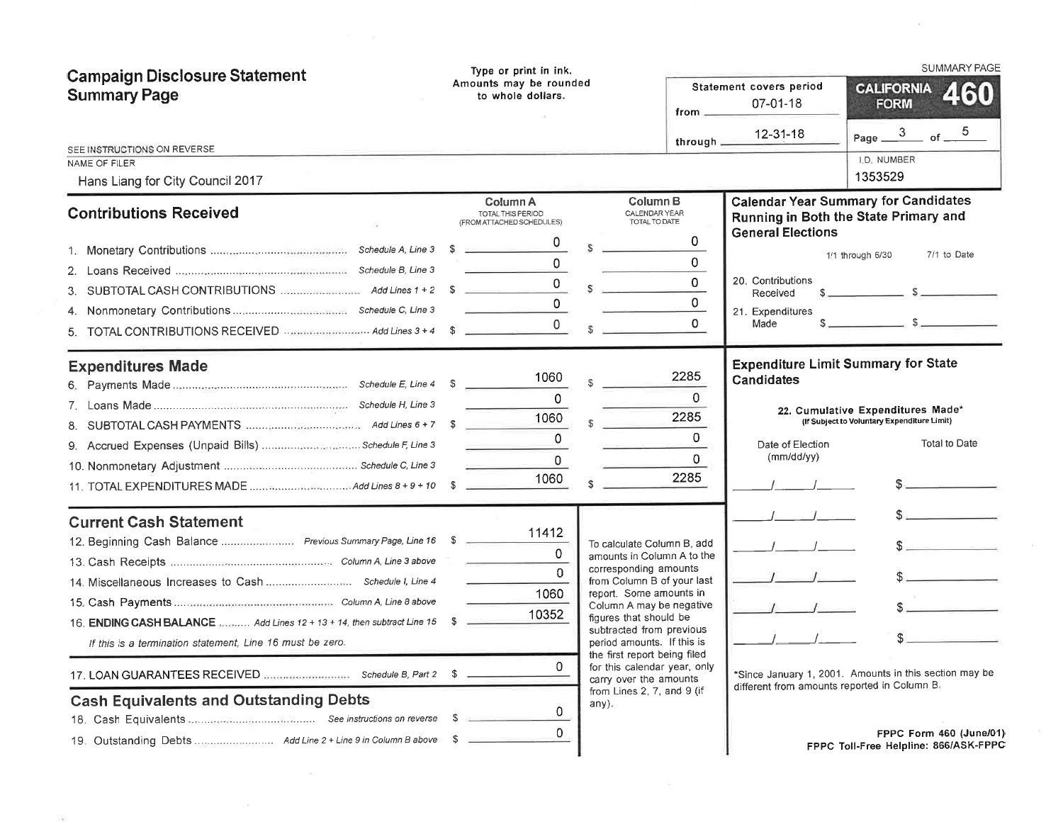| <b>Campaign Disclosure Statement</b><br><b>Summary Page</b>                                                                                                                                                                              | Type or print in ink.<br>Amounts may be rounded<br>to whole dollars.                                                                                              | from $\equiv$                                                                                                                                                                                                                                                                              | Statement covers period<br>07-01-18                                                               | SUMMARY PAGE<br><b>CALIFORNIA</b><br>460<br><b>FORM</b>                                                                                                                                                                                                                                                                                                         |  |
|------------------------------------------------------------------------------------------------------------------------------------------------------------------------------------------------------------------------------------------|-------------------------------------------------------------------------------------------------------------------------------------------------------------------|--------------------------------------------------------------------------------------------------------------------------------------------------------------------------------------------------------------------------------------------------------------------------------------------|---------------------------------------------------------------------------------------------------|-----------------------------------------------------------------------------------------------------------------------------------------------------------------------------------------------------------------------------------------------------------------------------------------------------------------------------------------------------------------|--|
| SEE INSTRUCTIONS ON REVERSE<br>NAME OF FILER<br>Hans Liang for City Council 2017                                                                                                                                                         |                                                                                                                                                                   | through                                                                                                                                                                                                                                                                                    | $12 - 31 - 18$                                                                                    | Page $\frac{3}{5}$ of $\frac{5}{5}$<br><b>I.D. NUMBER</b><br>1353529                                                                                                                                                                                                                                                                                            |  |
| <b>Contributions Received</b>                                                                                                                                                                                                            | Column A<br>TOTAL THIS PERIOD<br>(FROM ATTACHED SCHEDULES)<br>$\overline{\phantom{a}}$<br>-S<br>$\overline{\mathsf{o}}$<br>the control of the control of the con- | Column <sub>B</sub><br>CALENDAR YEAR<br>TOTAL TO DATE<br>$\Omega$<br>S<br>$\Omega$<br>$\Omega$<br>$s =$<br>$\Omega$                                                                                                                                                                        | <b>General Elections</b><br>20. Contributions<br>$\mathbf{s}$<br>Received                         | <b>Calendar Year Summary for Candidates</b><br>Running in Both the State Primary and<br>7/1 to Date<br>1/1 through 6/30<br><u>Samuel Service Service Service Service Service Service Service Service Service Service Service Service Service Service Service Service Service Service Service Service Service Service Service Service Service Service Servic</u> |  |
|                                                                                                                                                                                                                                          | $\overline{0}$<br>$\mathbb{S}$                                                                                                                                    | 0                                                                                                                                                                                                                                                                                          | 21. Expenditures<br>Made                                                                          |                                                                                                                                                                                                                                                                                                                                                                 |  |
| <b>Expenditures Made</b><br>8.<br>9. Accrued Expenses (Unpaid Bills)  Schedule F, Line 3                                                                                                                                                 | 1060<br>$\Omega$<br>1060<br>$\overline{0}$<br>1060                                                                                                                | 2285<br>0<br>2285<br>0<br>0<br>2285                                                                                                                                                                                                                                                        | <b>Expenditure Limit Summary for State</b><br><b>Candidates</b><br>Date of Election<br>(mm/dd/yy) | 22. Cumulative Expenditures Made*<br>(If Subject to Voluntary Expenditure Limit)<br><b>Total to Date</b>                                                                                                                                                                                                                                                        |  |
| <b>Current Cash Statement</b><br>12. Beginning Cash Balance  Previous Summary Page, Line 16 \$<br>16. ENDING CASH BALANCE  Add Lines 12 + 13 + 14, then subtract Line 15 \$<br>If this is a termination statement. Line 16 must be zero. | 11412<br>$\Omega$<br>$\Omega$<br>1060<br>10352                                                                                                                    | To calculate Column B, add<br>amounts in Column A to the<br>corresponding amounts<br>from Column B of your last<br>report. Some amounts in<br>Column A may be negative<br>figures that should be<br>subtracted from previous<br>period amounts. If this is<br>the first report being filed |                                                                                                   |                                                                                                                                                                                                                                                                                                                                                                 |  |
| <b>Cash Equivalents and Outstanding Debts</b>                                                                                                                                                                                            | 0<br>0                                                                                                                                                            | for this calendar year, only<br>carry over the amounts<br>from Lines 2, 7, and 9 (if<br>any).                                                                                                                                                                                              | different from amounts reported in Column B.                                                      | *Since January 1, 2001. Amounts in this section may be<br>FPPC Form 460 (June/01)<br>FPPC Toll-Free Helpline: 866/ASK-FPPC                                                                                                                                                                                                                                      |  |

 $\sim$   $15$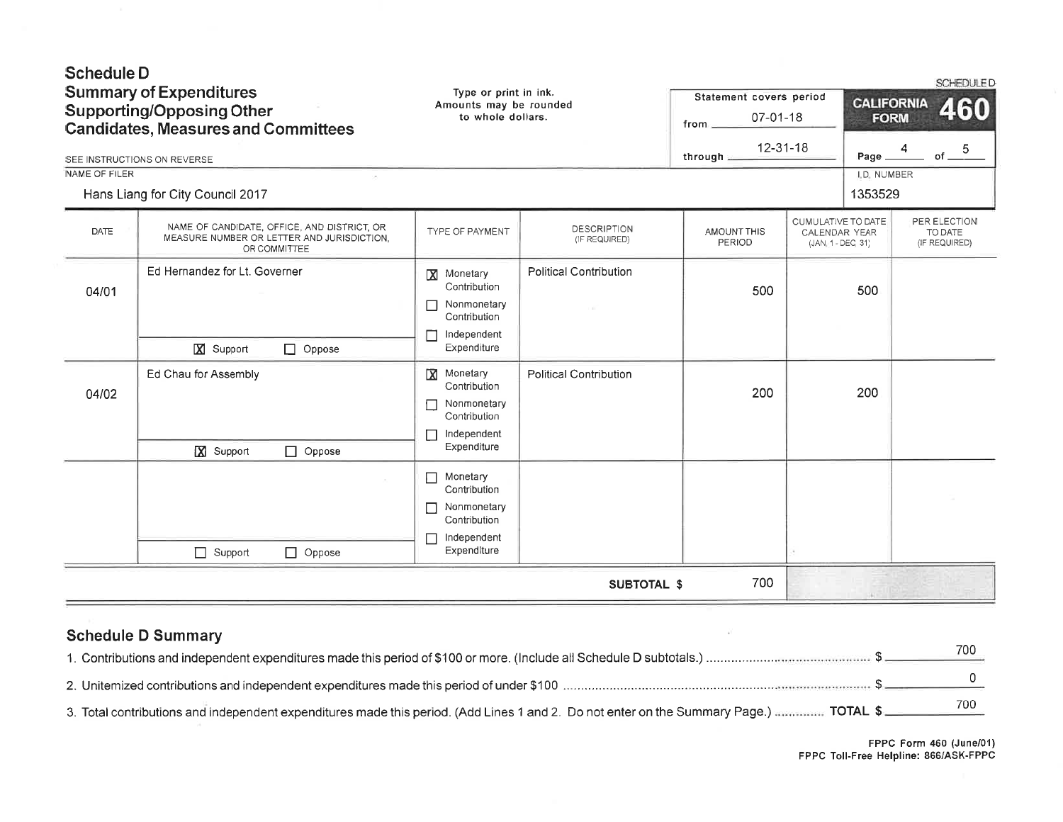| <b>Schedule D</b><br>NAME OF FILER | <b>Summary of Expenditures</b><br><b>Supporting/Opposing Other</b><br><b>Candidates, Measures and Committees</b><br>SEE INSTRUCTIONS ON REVERSE<br>Hans Liang for City Council 2017 | Type or print in ink.<br>Amounts may be rounded<br>to whole dollars.                                      |                                     | Statement covers period<br>$07 - 01 - 18$<br>from.<br>$12 - 31 - 18$<br>through: |                                                           | <b>CALIFORNIA</b><br><b>FORM</b><br>Page.<br><b>I.D. NUMBER</b><br>1353529 | <b>SCHEDULED</b><br>460<br>of $\frac{5}{1}$ |
|------------------------------------|-------------------------------------------------------------------------------------------------------------------------------------------------------------------------------------|-----------------------------------------------------------------------------------------------------------|-------------------------------------|----------------------------------------------------------------------------------|-----------------------------------------------------------|----------------------------------------------------------------------------|---------------------------------------------|
| DATE                               | NAME OF CANDIDATE, OFFICE, AND DISTRICT, OR<br>MEASURE NUMBER OR LETTER AND JURISDICTION,<br>OR COMMITTEE                                                                           | TYPE OF PAYMENT                                                                                           | <b>DESCRIPTION</b><br>(IF REQUIRED) | AMOUNT THIS<br>PERIOD                                                            | CUMULATIVE TO DATE<br>CALENDAR YEAR<br>(JAN, 1 - DEC, 31) |                                                                            | PER ELECTION<br>TO DATE<br>(IF REQUIRED)    |
| 04/01                              | Ed Hernandez for Lt. Governer<br>X Support<br>$\Box$ Oppose                                                                                                                         | Monetary<br>Contribution<br>Nonmonetary<br>П<br>Contribution<br>Independent<br>Expenditure                | <b>Political Contribution</b>       | 500                                                                              |                                                           | 500                                                                        |                                             |
| 04/02                              | Ed Chau for Assembly<br>X Support<br>$\Box$ Oppose                                                                                                                                  | Monetary<br>Contribution<br>Nonmonetary<br>П<br>Contribution<br>Independent<br>Expenditure                | <b>Political Contribution</b>       | 200                                                                              |                                                           | 200                                                                        |                                             |
|                                    | $\Box$ Support<br>$\Box$ Oppose                                                                                                                                                     | Monetary<br>$\Box$<br>Contribution<br>Nonmonetary<br>П<br>Contribution<br>Independent<br>г<br>Expenditure |                                     |                                                                                  |                                                           |                                                                            |                                             |
|                                    |                                                                                                                                                                                     |                                                                                                           | <b>SUBTOTAL \$</b>                  | 700                                                                              |                                                           |                                                                            |                                             |

| <b>Schedule D Summary</b> |  |  |
|---------------------------|--|--|
|---------------------------|--|--|

| 3. Total contributions and independent expenditures made this period. (Add Lines 1 and 2. Do not enter on the Summary Page.)  TOTAL \$ |  |
|----------------------------------------------------------------------------------------------------------------------------------------|--|

FPPC Form 460 (June/01)<br>FPPC Toll-Free Helpline: 866/ASK-FPPC

 $\sim 10^{-11}$